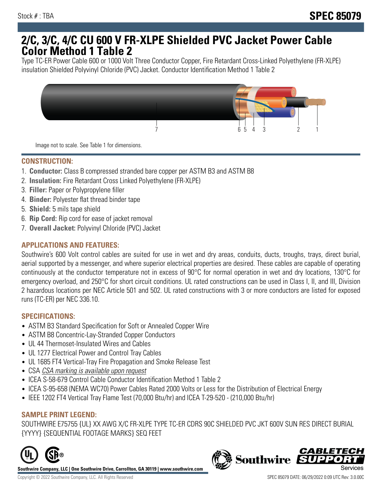# **2/C, 3/C, 4/C CU 600 V FR-XLPE Shielded PVC Jacket Power Cable Color Method 1 Table 2**

Type TC-ER Power Cable 600 or 1000 Volt Three Conductor Copper, Fire Retardant Cross-Linked Polyethylene (FR-XLPE) insulation Shielded Polyvinyl Chloride (PVC) Jacket. Conductor Identification Method 1 Table 2



Image not to scale. See Table 1 for dimensions.

## **CONSTRUCTION:**

- 1. **Conductor:** Class B compressed stranded bare copper per ASTM B3 and ASTM B8
- 2. **Insulation:** Fire Retardant Cross Linked Polyethylene (FR-XLPE)
- 3. **Filler:** Paper or Polypropylene filler
- 4. **Binder:** Polyester flat thread binder tape
- 5. **Shield:** 5 mils tape shield
- 6. **Rip Cord:** Rip cord for ease of jacket removal
- 7. **Overall Jacket:** Polyvinyl Chloride (PVC) Jacket

### **APPLICATIONS AND FEATURES:**

Southwire's 600 Volt control cables are suited for use in wet and dry areas, conduits, ducts, troughs, trays, direct burial, aerial supported by a messenger, and where superior electrical properties are desired. These cables are capable of operating continuously at the conductor temperature not in excess of 90°C for normal operation in wet and dry locations, 130°C for emergency overload, and 250°C for short circuit conditions. UL rated constructions can be used in Class I, II, and III, Division 2 hazardous locations per NEC Article 501 and 502. UL rated constructions with 3 or more conductors are listed for exposed runs (TC-ER) per NEC 336.10.

#### **SPECIFICATIONS:**

- ASTM B3 Standard Specification for Soft or Annealed Copper Wire
- ASTM B8 Concentric-Lay-Stranded Copper Conductors
- UL 44 Thermoset-Insulated Wires and Cables
- UL 1277 Electrical Power and Control Tray Cables
- UL 1685 FT4 Vertical-Tray Fire Propagation and Smoke Release Test
- CSA CSA marking is available upon request
- ICEA S-58-679 Control Cable Conductor Identification Method 1 Table 2
- ICEA S-95-658 (NEMA WC70) Power Cables Rated 2000 Volts or Less for the Distribution of Electrical Energy
- IEEE 1202 FT4 Vertical Tray Flame Test (70,000 Btu/hr) and ICEA T-29-520 (210,000 Btu/hr)

#### **SAMPLE PRINT LEGEND:**

SOUTHWIRE E75755 {UL} XX AWG X/C FR-XLPE TYPE TC-ER CDRS 90C SHIELDED PVC JKT 600V SUN RES DIRECT BURIAL {YYYY} {SEQUENTIAL FOOTAGE MARKS} SEQ FEET



**Southwire Company, LLC | One Southwire Drive, Carrollton, GA 30119 | www.southwire.com**